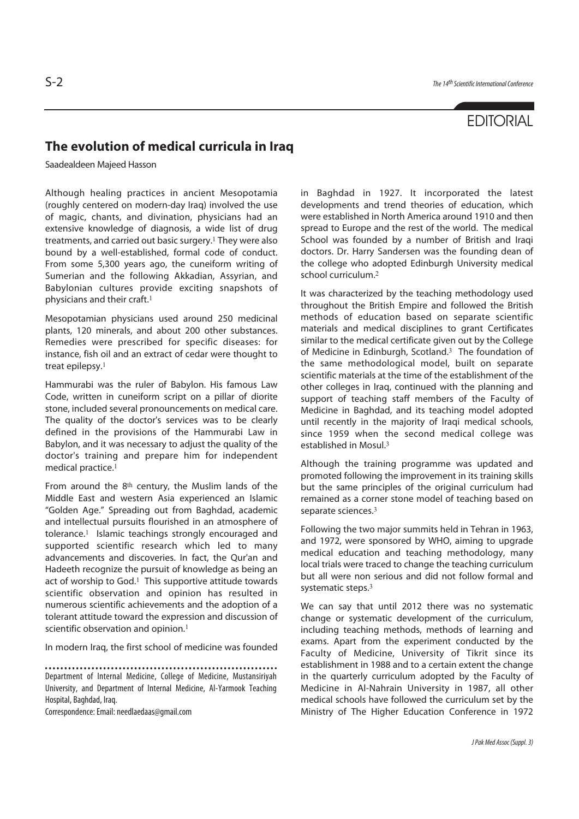## **EDITORIAL**

## **The evolution of medical curricula in Iraq**

Saadealdeen Majeed Hasson

Although healing practices in ancient Mesopotamia (roughly centered on modern-day Iraq) involved the use of magic, chants, and divination, physicians had an extensive knowledge of diagnosis, a wide list of drug treatments, and carried out basic surgery.<sup>1</sup> They were also bound by a well-established, formal code of conduct. From some 5,300 years ago, the cuneiform writing of Sumerian and the following Akkadian, Assyrian, and Babylonian cultures provide exciting snapshots of physicians and their craft.<sup>1</sup>

Mesopotamian physicians used around 250 medicinal plants, 120 minerals, and about 200 other substances. Remedies were prescribed for specific diseases: for instance, fish oil and an extract of cedar were thought to treat epilepsy.<sup>1</sup>

Hammurabi was the ruler of Babylon. His famous Law Code, written in cuneiform script on a pillar of diorite stone, included several pronouncements on medical care. The quality of the doctor's services was to be clearly defined in the provisions of the Hammurabi Law in Babylon, and it was necessary to adjust the quality of the doctor's training and prepare him for independent medical practice.<sup>1</sup>

From around the 8<sup>th</sup> century, the Muslim lands of the Middle East and western Asia experienced an Islamic "Golden Age." Spreading out from Baghdad, academic and intellectual pursuits flourished in an atmosphere of tolerance.<sup>1</sup> Islamic teachings strongly encouraged and supported scientific research which led to many advancements and discoveries. In fact, the Qur'an and Hadeeth recognize the pursuit of knowledge as being an act of worship to God.<sup>1</sup> This supportive attitude towards scientific observation and opinion has resulted in numerous scientific achievements and the adoption of a tolerant attitude toward the expression and discussion of scientific observation and opinion.<sup>1</sup>

In modern Iraq, the first school of medicine was founded

Correspondence: Email: needlaedaas@gmail.com

in Baghdad in 1927. It incorporated the latest developments and trend theories of education, which were established in North America around 1910 and then spread to Europe and the rest of the world. The medical School was founded by a number of British and Iraqi doctors. Dr. Harry Sandersen was the founding dean of the college who adopted Edinburgh University medical school curriculum.<sup>2</sup>

It was characterized by the teaching methodology used throughout the British Empire and followed the British methods of education based on separate scientific materials and medical disciplines to grant Certificates similar to the medical certificate given out by the College of Medicine in Edinburgh, Scotland.<sup>3</sup> The foundation of the same methodological model, built on separate scientific materials at the time of the establishment of the other colleges in Iraq, continued with the planning and support of teaching staff members of the Faculty of Medicine in Baghdad, and its teaching model adopted until recently in the majority of Iraqi medical schools, since 1959 when the second medical college was established in Mosul.<sup>3</sup>

Although the training programme was updated and promoted following the improvement in its training skills but the same principles of the original curriculum had remained as a corner stone model of teaching based on separate sciences.<sup>3</sup>

Following the two major summits held in Tehran in 1963, and 1972, were sponsored by WHO, aiming to upgrade medical education and teaching methodology, many local trials were traced to change the teaching curriculum but all were non serious and did not follow formal and systematic steps.<sup>3</sup>

We can say that until 2012 there was no systematic change or systematic development of the curriculum, including teaching methods, methods of learning and exams. Apart from the experiment conducted by the Faculty of Medicine, University of Tikrit since its establishment in 1988 and to a certain extent the change in the quarterly curriculum adopted by the Faculty of Medicine in Al-Nahrain University in 1987, all other medical schools have followed the curriculum set by the Ministry of The Higher Education Conference in 1972

Department of Internal Medicine, College of Medicine, Mustansiriyah University, and Department of Internal Medicine, Al-Yarmook Teaching Hospital, Baghdad, Iraq.